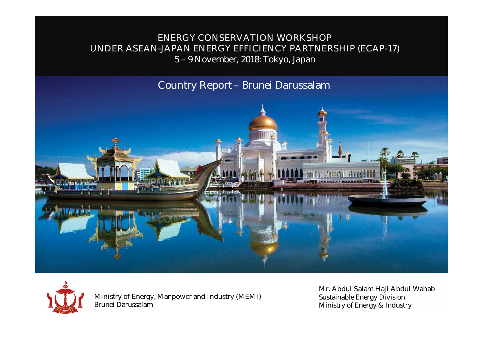### **ENERGY CONSERVATION WORKSHOP UNDER ASEAN-JAPAN ENERGY EFFICIENCY PARTNERSHIP (ECAP-17)** 5 – 9 November, 2018: Tokyo, Japan

**Country Report** – Brunei Darussalam





**Ministry of Energy, Manpower and Industry (MEMI)** Brunei Darussalam

**Mr. Abdul Salam Haji Abdul Wahab** Sustainable Energy Division Ministry of Energy & Industry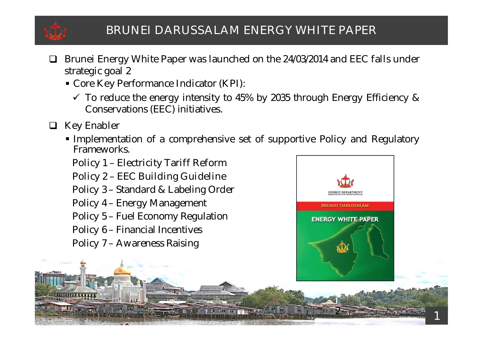

## **BRUNEI DARUSSALAM ENERGY WHITE PAPER**

- **Brunei Energy White Paper was launched on the 24/03/2014 and EEC falls under strategic goal 2**
	- **Core Key Performance Indicator (KPI):**
		- $\checkmark$  To reduce the energy intensity to 45% by 2035 through Energy Efficiency & Conservations (EEC) initiatives.
- **Key Enabler**
	- Implementation of a comprehensive set of supportive Policy and Regulatory Frameworks.
		- **Policy 1 – Electricity Tariff Reform**
		- **Policy 2 – EEC Building Guideline**
		- Policy 3 Standard & Labeling Order
		- Policy 4 Energy Management
		- Policy 5 Fuel Economy Regulation
		- Policy 6 Financial Incentives
		- Policy 7 Awareness Raising



2

1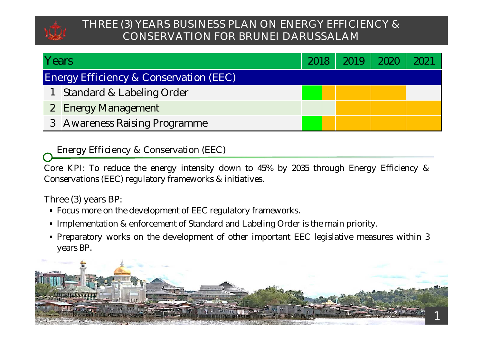

## **THREE (3) YEARS BUSINESS PLAN ON ENERGY EFFICIENCY & CONSERVATION FOR BRUNEI DARUSSALAM**

| Years |                                                   | 2018 | 2019 |  |
|-------|---------------------------------------------------|------|------|--|
|       | <b>Energy Efficiency &amp; Conservation (EEC)</b> |      |      |  |
|       | Standard & Labeling Order                         |      |      |  |
|       | 2 Energy Management                               |      |      |  |
|       | 3 Awareness Raising Programme                     |      |      |  |

**Energy Efficiency & Conservation (EEC)**

**Core KPI**: To reduce the energy intensity down to 45% by 2035 through Energy Efficiency & Conservations (EEC) regulatory frameworks & initiatives.

**Three (3) years BP**:

- **Focus more on the development of EEC regulatory frameworks.**
- Implementation & enforcement of Standard and Labeling Order is the main priority.
- Preparatory works on the development of other important EEC legislative measures within 3 years BP.

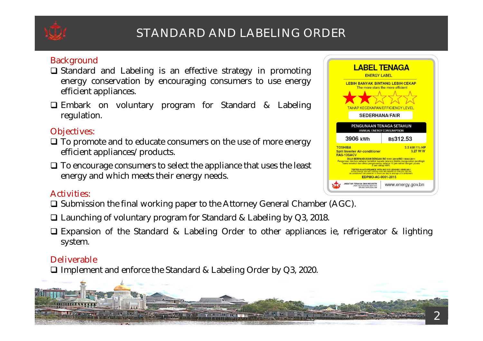

# **STANDARD AND LABELING ORDER**

## **Background**

- $\Box$  Standard and Labeling is an effective strategy in promoting energy conservation by encouraging consumers to use energy efficient appliances.
- Embark on voluntary program for Standard & Labeling regulation.

## **Objectives:**

- $\Box$  To promote and to educate consumers on the use of more energy efficient appliances/products.
- $\Box$  To encourage consumers to select the appliance that uses the least energy and which meets their energy needs.

#### **Activities:**

- $\Box$  Submission the final working paper to the Attorney General Chamber (AGC).
- □ Launching of voluntary program for Standard & Labeling by Q3, 2018.
- Expansion of the Standard & Labeling Order to other appliances ie, refrigerator & lighting system.

## **Deliverable**

□ Implement and enforce the Standard & Labeling Order by Q3, 2020.



| <b>ENERGY LABEL</b>                                                                                                                                                                                                     | <b>LABEL TENAGA</b>                                                                                                                 |  |  |
|-------------------------------------------------------------------------------------------------------------------------------------------------------------------------------------------------------------------------|-------------------------------------------------------------------------------------------------------------------------------------|--|--|
| <b>LEBIH BANYAK BINTANG LEBIH CEKAP</b><br><b>TAHAP KECEKAPAN/EFFICIENCY LEVEL</b>                                                                                                                                      | The more stars the more efficient                                                                                                   |  |  |
|                                                                                                                                                                                                                         | <b>SEDERHANA/FAIR</b>                                                                                                               |  |  |
| PENGUNAAN TENAGA SETAHUN<br><b>ANNUAL ENERGY CONSUMPTION</b>                                                                                                                                                            |                                                                                                                                     |  |  |
| 3906 kWh                                                                                                                                                                                                                | B\$312.53                                                                                                                           |  |  |
| <b>TOSHIBA</b><br><b>Split Inverter Air-conditioner</b><br><b>RAS-13SACV</b><br><b>DIUJI BERPANDUKAN DENGAN ISO 5151:2010/ISO 15042:2011</b><br>hawa tersebut dan dikira pengunaanya selama 10 jam sehari dengan purata | 3.5 kW/11/2 HP<br>3.27 W/W<br>Pengunaan dan kos sebenar tertakluk kepada tatacara biskita mengunakan pendingin<br>8 sen setiap kWh. |  |  |
| <b>TESTED IN ACCORDANCE WITH ISO 5151:2010/ISO 15042:2011</b><br>Actual energy use and running costs will depend on how you use the<br>air-conditioner calculated at 10 hours per day at average of 8 cents/kWh.        |                                                                                                                                     |  |  |
| EDPMO-AC-0001-2015                                                                                                                                                                                                      |                                                                                                                                     |  |  |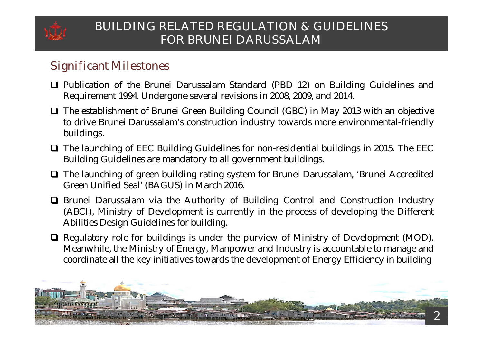

# **BUILDING RELATED REGULATION & GUIDELINES FOR BRUNEI DARUSSALAM**

# **Significant Milestones**

- $\Box$  Publication of the Brunei Darussalam Standard (PBD 12) on Building Guidelines and Requirement 1994. Undergone several revisions in 2008, 2009, and 2014.
- $\Box$  The establishment of Brunei Green Building Council (GBC) in May 2013 with an objective to drive Brunei Darussalam's construction industry towards more environmental-friendly buildings.
- $\Box$  The launching of EEC Building Guidelines for non-residential buildings in 2015. The EEC Building Guidelines are mandatory to all government buildings.
- The launching of green building rating system for Brunei Darussalam, 'Brunei Accredited Green Unified Seal' (BAGUS) in March 2016.
- Brunei Darussalam via the Authority of Building Control and Construction Industry (ABCI), Ministry of Development is currently in the process of developing the Different Abilities Design Guidelines for building.
- $\Box$  Regulatory role for buildings is under the purview of Ministry of Development (MOD). Meanwhile, the Ministry of Energy, Manpower and Industry is accountable to manage and coordinate all the key initiatives towards the development of Energy Efficiency in building

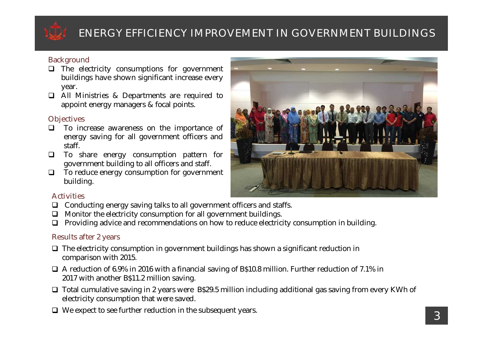

# **ENERGY EFFICIENCY IMPROVEMENT IN GOVERNMENT BUILDINGS**

#### **Background**

- $\Box$  The electricity consumptions for government buildings have shown significant increase every year.
- All Ministries & Departments are required to appoint energy managers & focal points.

#### **Objectives**

- $\Box$  To increase awareness on the importance of energy saving for all government officers and staff.
- To share energy consumption pattern for government building to all officers and staff.
- $\Box$  To reduce energy consumption for government building.



#### **Activities**

- $\Box$  Conducting energy saving talks to all government officers and staffs.
- $\Box$  Monitor the electricity consumption for all government buildings.
- $\Box$  Providing advice and recommendations on how to reduce electricity consumption in building.

#### **Results after 2 years**

- $\Box$  The electricity consumption in government buildings has shown a significant reduction in comparison with 2015.
- $\Box$  A reduction of 6.9% in 2016 with a financial saving of B\$10.8 million. Further reduction of 7.1% in 2017 with another B\$11.2 million saving.
- $\Box$  Total cumulative saving in 2 years were B\$29.5 million including additional gas saving from every KWh of electricity consumption that were saved.
- $\Box$  We expect to see further reduction in the subsequent years.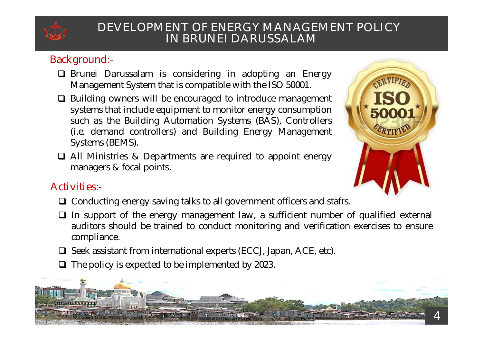

## **DEVELOPMENT OF ENERGY MANAGEMENT POLICY IN BRUNEI DARUSSALAM**

## **Background:-**

- $\Box$  Brunei Darussalam is considering in adopting an Energy Management System that is compatible with the ISO 50001.
- □ Building owners will be encouraged to introduce management systems that include equipment to monitor energy consumption such as the Building Automation Systems (BAS), Controllers (i.e. demand controllers) and Building Energy Management Systems (BEMS).
- All Ministries & Departments are required to appoint energy managers & focal points.



## **Activities:-**

- □ Conducting energy saving talks to all government officers and staffs.
- $\Box$  In support of the energy management law, a sufficient number of qualified external auditors should be trained to conduct monitoring and verification exercises to ensure compliance.
- $\Box$  Seek assistant from international experts (ECCJ, Japan, ACE, etc).
- $\Box$  The policy is expected to be implemented by 2023.

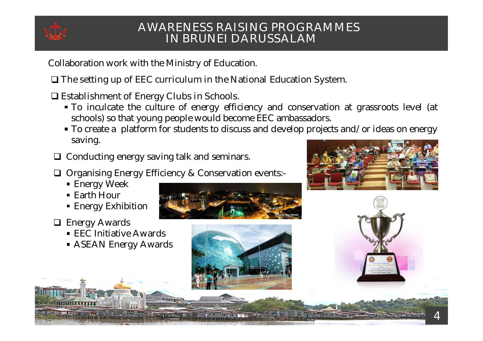

## **AWARENESS RAISING PROGRAMMES IN BRUNEI DARUSSALAM**

Collaboration work with the Ministry of Education.

**The setting up of EEC curriculum in the National Education System.**

**Establishment of Energy Clubs in Schools.**

- To inculcate the culture of energy efficiency and conservation at grassroots level (at schools) so that young people would become EEC ambassadors.
- To create a platform for students to discuss and develop projects and/or ideas on energy saving.
- Conducting energy saving talk and seminars.
- $\Box$  Organising Energy Efficiency & Conservation events:-
	- Energy Week
	- Earth Hour
	- Energy Exhibition
- **Energy Awards** 
	- EEC Initiative Awards
	- **ASEAN Energy Awards**





4